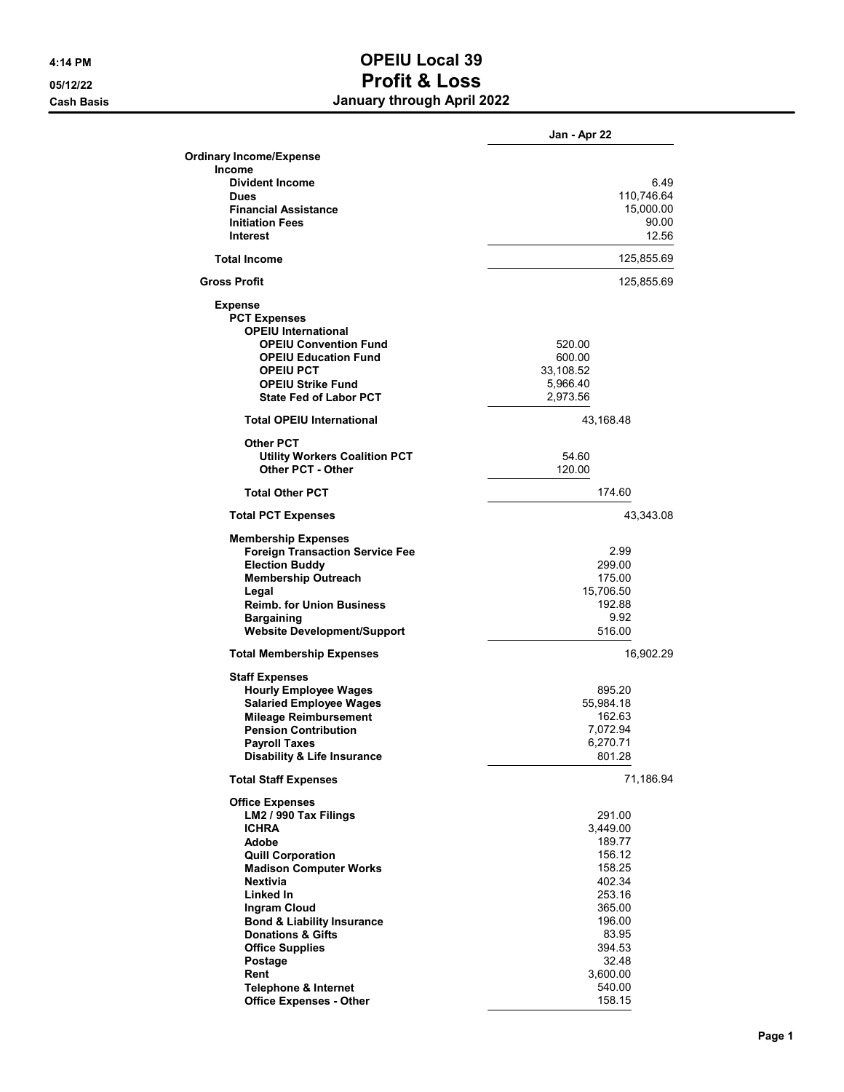## **4:14 PM OPEIU Local 39 05/12/22 Profit & Loss Cash Basis January through April 2022**

|                                                                | Jan - Apr 22        |
|----------------------------------------------------------------|---------------------|
| <b>Ordinary Income/Expense</b>                                 |                     |
| Income                                                         |                     |
| <b>Divident Income</b>                                         | 6.49                |
| <b>Dues</b>                                                    | 110,746.64          |
| <b>Financial Assistance</b>                                    | 15,000.00           |
| <b>Initiation Fees</b><br>Interest                             | 90.00<br>12.56      |
|                                                                |                     |
| <b>Total Income</b>                                            | 125,855.69          |
| <b>Gross Profit</b>                                            | 125,855.69          |
| <b>Expense</b>                                                 |                     |
| <b>PCT Expenses</b>                                            |                     |
| <b>OPEIU International</b>                                     |                     |
| <b>OPEIU Convention Fund</b><br><b>OPEIU Education Fund</b>    | 520.00<br>600.00    |
| <b>OPEIU PCT</b>                                               | 33,108.52           |
| <b>OPEIU Strike Fund</b>                                       | 5,966.40            |
| <b>State Fed of Labor PCT</b>                                  | 2,973.56            |
| <b>Total OPEIU International</b>                               | 43,168.48           |
| <b>Other PCT</b>                                               |                     |
| <b>Utility Workers Coalition PCT</b>                           | 54.60               |
| Other PCT - Other                                              | 120.00              |
| <b>Total Other PCT</b>                                         | 174.60              |
| <b>Total PCT Expenses</b>                                      | 43,343.08           |
| <b>Membership Expenses</b>                                     |                     |
| <b>Foreign Transaction Service Fee</b>                         | 2.99                |
| <b>Election Buddy</b>                                          | 299.00              |
| <b>Membership Outreach</b>                                     | 175.00              |
| Legal<br><b>Reimb. for Union Business</b>                      | 15,706.50<br>192.88 |
| <b>Bargaining</b>                                              | 9.92                |
| <b>Website Development/Support</b>                             | 516.00              |
| <b>Total Membership Expenses</b>                               | 16,902.29           |
| <b>Staff Expenses</b>                                          |                     |
| <b>Hourly Employee Wages</b>                                   | 895.20              |
| <b>Salaried Employee Wages</b>                                 | 55,984.18           |
| <b>Mileage Reimbursement</b>                                   | 162.63              |
| <b>Pension Contribution</b>                                    | 7,072.94            |
| <b>Pavroll Taxes</b><br><b>Disability &amp; Life Insurance</b> | 6,270.71<br>801.28  |
| <b>Total Staff Expenses</b>                                    | 71,186.94           |
| <b>Office Expenses</b>                                         |                     |
| LM2 / 990 Tax Filings                                          | 291.00              |
| <b>ICHRA</b>                                                   | 3,449.00            |
| <b>Adobe</b>                                                   | 189.77              |
| <b>Quill Corporation</b>                                       | 156.12              |
| <b>Madison Computer Works</b>                                  | 158.25              |
| <b>Nextivia</b>                                                | 402.34              |
| Linked In                                                      | 253.16              |
| Ingram Cloud<br><b>Bond &amp; Liability Insurance</b>          | 365.00<br>196.00    |
| <b>Donations &amp; Gifts</b>                                   | 83.95               |
| <b>Office Supplies</b>                                         | 394.53              |
| Postage                                                        | 32.48               |
| Rent                                                           | 3,600.00            |
| <b>Telephone &amp; Internet</b>                                | 540.00              |
| <b>Office Expenses - Other</b>                                 | 158.15              |